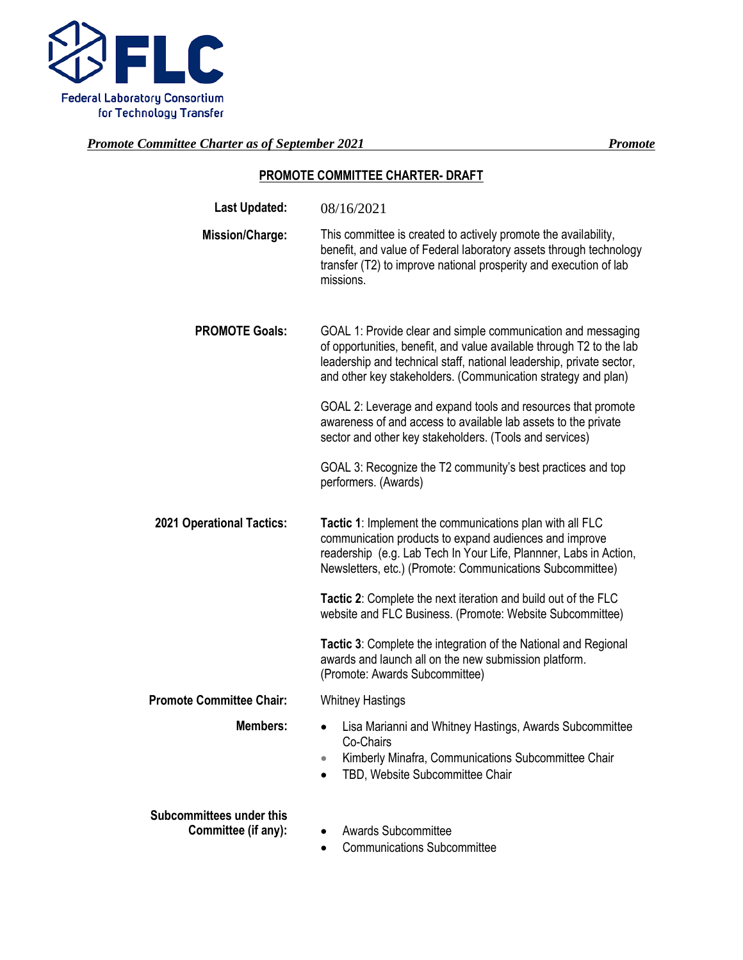

### **PROMOTE COMMITTEE CHARTER- DRAFT**

| <b>Last Updated:</b>                                   | 08/16/2021                                                                                                                                                                                                                                                                    |  |  |
|--------------------------------------------------------|-------------------------------------------------------------------------------------------------------------------------------------------------------------------------------------------------------------------------------------------------------------------------------|--|--|
| <b>Mission/Charge:</b>                                 | This committee is created to actively promote the availability,<br>benefit, and value of Federal laboratory assets through technology<br>transfer (T2) to improve national prosperity and execution of lab<br>missions.                                                       |  |  |
| <b>PROMOTE Goals:</b>                                  | GOAL 1: Provide clear and simple communication and messaging<br>of opportunities, benefit, and value available through T2 to the lab<br>leadership and technical staff, national leadership, private sector,<br>and other key stakeholders. (Communication strategy and plan) |  |  |
|                                                        | GOAL 2: Leverage and expand tools and resources that promote<br>awareness of and access to available lab assets to the private<br>sector and other key stakeholders. (Tools and services)                                                                                     |  |  |
|                                                        | GOAL 3: Recognize the T2 community's best practices and top<br>performers. (Awards)                                                                                                                                                                                           |  |  |
| <b>2021 Operational Tactics:</b>                       | Tactic 1: Implement the communications plan with all FLC<br>communication products to expand audiences and improve<br>readership (e.g. Lab Tech In Your Life, Plannner, Labs in Action,<br>Newsletters, etc.) (Promote: Communications Subcommittee)                          |  |  |
|                                                        | Tactic 2: Complete the next iteration and build out of the FLC<br>website and FLC Business. (Promote: Website Subcommittee)                                                                                                                                                   |  |  |
|                                                        | Tactic 3: Complete the integration of the National and Regional<br>awards and launch all on the new submission platform.<br>(Promote: Awards Subcommittee)                                                                                                                    |  |  |
| <b>Promote Committee Chair:</b>                        | <b>Whitney Hastings</b>                                                                                                                                                                                                                                                       |  |  |
| <b>Members:</b>                                        | Lisa Marianni and Whitney Hastings, Awards Subcommittee<br>$\bullet$<br>Co-Chairs<br>Kimberly Minafra, Communications Subcommittee Chair<br>TBD, Website Subcommittee Chair                                                                                                   |  |  |
| <b>Subcommittees under this</b><br>Committee (if any): | <b>Awards Subcommittee</b><br>٠<br><b>Communications Subcommittee</b>                                                                                                                                                                                                         |  |  |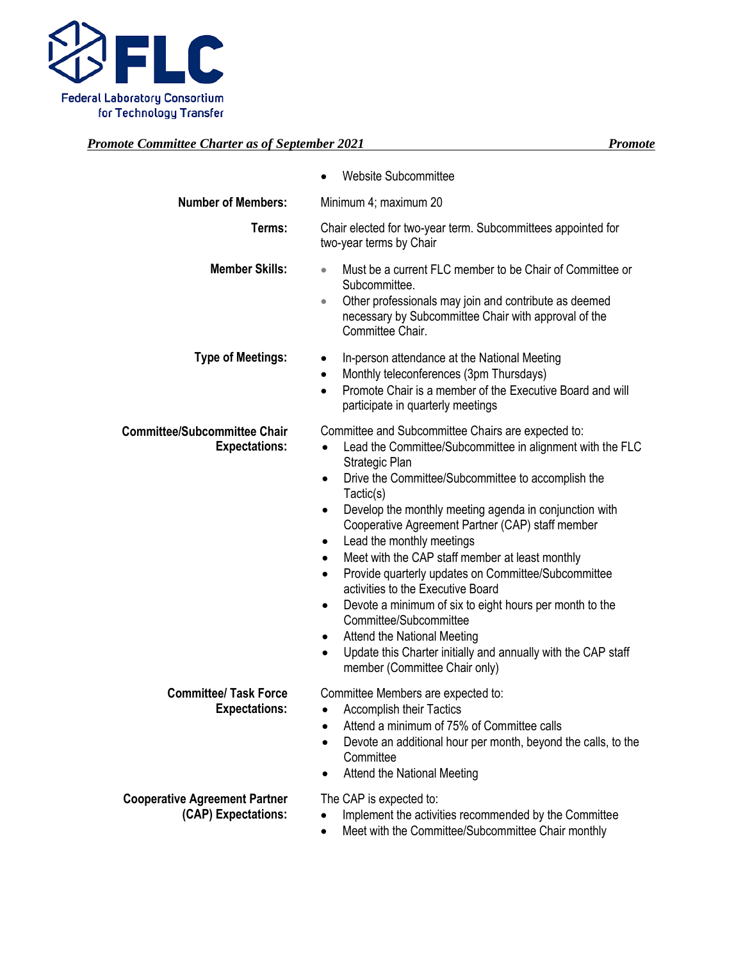

## *Promote Committee Charter as of September 2021*

|                                                             | Website Subcommittee                                                                                                                                                                                                                                                                                                                                                                                                                                                                                                                                                                                                                                                                                                                                                                                      |
|-------------------------------------------------------------|-----------------------------------------------------------------------------------------------------------------------------------------------------------------------------------------------------------------------------------------------------------------------------------------------------------------------------------------------------------------------------------------------------------------------------------------------------------------------------------------------------------------------------------------------------------------------------------------------------------------------------------------------------------------------------------------------------------------------------------------------------------------------------------------------------------|
| <b>Number of Members:</b>                                   | Minimum 4; maximum 20                                                                                                                                                                                                                                                                                                                                                                                                                                                                                                                                                                                                                                                                                                                                                                                     |
| Terms:                                                      | Chair elected for two-year term. Subcommittees appointed for<br>two-year terms by Chair                                                                                                                                                                                                                                                                                                                                                                                                                                                                                                                                                                                                                                                                                                                   |
| <b>Member Skills:</b>                                       | Must be a current FLC member to be Chair of Committee or<br>Subcommittee.<br>Other professionals may join and contribute as deemed<br>$\bullet$<br>necessary by Subcommittee Chair with approval of the<br>Committee Chair.                                                                                                                                                                                                                                                                                                                                                                                                                                                                                                                                                                               |
| <b>Type of Meetings:</b>                                    | In-person attendance at the National Meeting<br>٠<br>Monthly teleconferences (3pm Thursdays)<br>٠<br>Promote Chair is a member of the Executive Board and will<br>$\bullet$<br>participate in quarterly meetings                                                                                                                                                                                                                                                                                                                                                                                                                                                                                                                                                                                          |
| <b>Committee/Subcommittee Chair</b><br><b>Expectations:</b> | Committee and Subcommittee Chairs are expected to:<br>Lead the Committee/Subcommittee in alignment with the FLC<br>$\bullet$<br>Strategic Plan<br>Drive the Committee/Subcommittee to accomplish the<br>$\bullet$<br>Tactic(s)<br>Develop the monthly meeting agenda in conjunction with<br>٠<br>Cooperative Agreement Partner (CAP) staff member<br>Lead the monthly meetings<br>٠<br>Meet with the CAP staff member at least monthly<br>$\bullet$<br>Provide quarterly updates on Committee/Subcommittee<br>$\bullet$<br>activities to the Executive Board<br>Devote a minimum of six to eight hours per month to the<br>٠<br>Committee/Subcommittee<br>Attend the National Meeting<br>٠<br>Update this Charter initially and annually with the CAP staff<br>$\bullet$<br>member (Committee Chair only) |
| <b>Committee/ Task Force</b><br><b>Expectations:</b>        | Committee Members are expected to:<br><b>Accomplish their Tactics</b><br>$\bullet$<br>Attend a minimum of 75% of Committee calls<br>Devote an additional hour per month, beyond the calls, to the<br>$\bullet$<br>Committee<br><b>Attend the National Meeting</b>                                                                                                                                                                                                                                                                                                                                                                                                                                                                                                                                         |
| <b>Cooperative Agreement Partner</b><br>(CAP) Expectations: | The CAP is expected to:<br>Implement the activities recommended by the Committee<br>Meet with the Committee/Subcommittee Chair monthly                                                                                                                                                                                                                                                                                                                                                                                                                                                                                                                                                                                                                                                                    |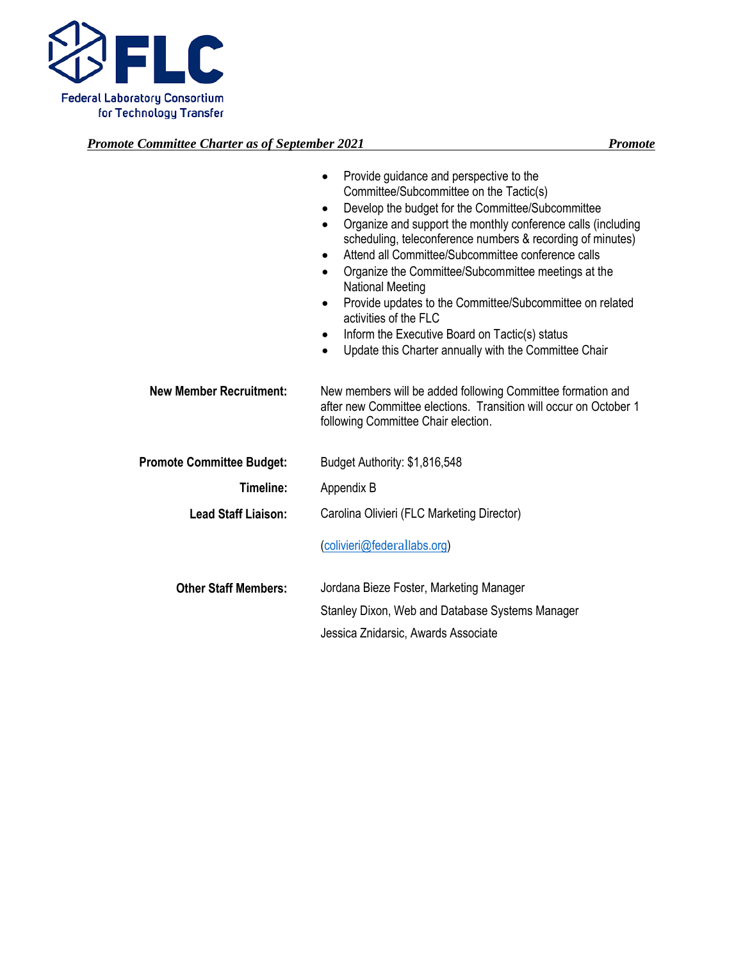

|                                  | Provide guidance and perspective to the<br>$\bullet$<br>Committee/Subcommittee on the Tactic(s)<br>Develop the budget for the Committee/Subcommittee<br>$\bullet$<br>Organize and support the monthly conference calls (including<br>$\bullet$<br>scheduling, teleconference numbers & recording of minutes)<br>Attend all Committee/Subcommittee conference calls<br>$\bullet$<br>Organize the Committee/Subcommittee meetings at the<br>$\bullet$<br><b>National Meeting</b><br>Provide updates to the Committee/Subcommittee on related<br>$\bullet$<br>activities of the FLC<br>Inform the Executive Board on Tactic(s) status<br>٠<br>Update this Charter annually with the Committee Chair<br>$\bullet$ |
|----------------------------------|---------------------------------------------------------------------------------------------------------------------------------------------------------------------------------------------------------------------------------------------------------------------------------------------------------------------------------------------------------------------------------------------------------------------------------------------------------------------------------------------------------------------------------------------------------------------------------------------------------------------------------------------------------------------------------------------------------------|
| <b>New Member Recruitment:</b>   | New members will be added following Committee formation and<br>after new Committee elections. Transition will occur on October 1<br>following Committee Chair election.                                                                                                                                                                                                                                                                                                                                                                                                                                                                                                                                       |
| <b>Promote Committee Budget:</b> | Budget Authority: \$1,816,548                                                                                                                                                                                                                                                                                                                                                                                                                                                                                                                                                                                                                                                                                 |
| Timeline:                        | Appendix B                                                                                                                                                                                                                                                                                                                                                                                                                                                                                                                                                                                                                                                                                                    |
| <b>Lead Staff Liaison:</b>       | Carolina Olivieri (FLC Marketing Director)                                                                                                                                                                                                                                                                                                                                                                                                                                                                                                                                                                                                                                                                    |
|                                  | (colivieri@federallabs.org)                                                                                                                                                                                                                                                                                                                                                                                                                                                                                                                                                                                                                                                                                   |
| <b>Other Staff Members:</b>      | Jordana Bieze Foster, Marketing Manager                                                                                                                                                                                                                                                                                                                                                                                                                                                                                                                                                                                                                                                                       |
|                                  | Stanley Dixon, Web and Database Systems Manager                                                                                                                                                                                                                                                                                                                                                                                                                                                                                                                                                                                                                                                               |
|                                  | Jessica Znidarsic, Awards Associate                                                                                                                                                                                                                                                                                                                                                                                                                                                                                                                                                                                                                                                                           |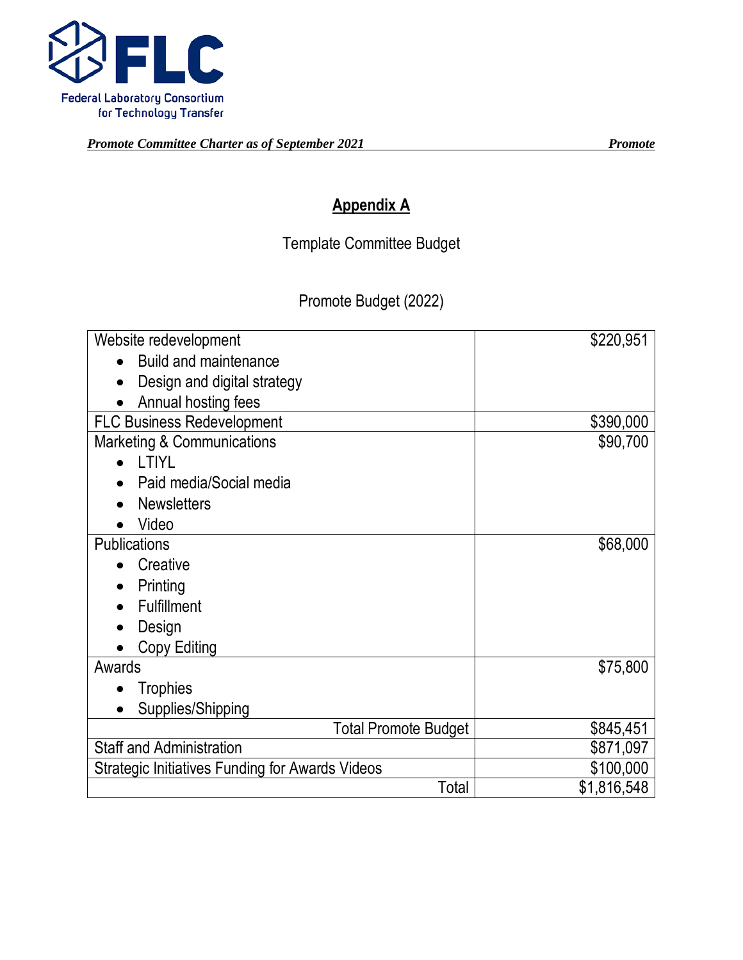

# **Appendix A**

Template Committee Budget

Promote Budget (2022)

| Website redevelopment                           | \$220,951   |
|-------------------------------------------------|-------------|
| <b>Build and maintenance</b>                    |             |
| Design and digital strategy                     |             |
| Annual hosting fees                             |             |
| <b>FLC Business Redevelopment</b>               | \$390,000   |
| Marketing & Communications                      | \$90,700    |
| <b>LTIYL</b>                                    |             |
| Paid media/Social media                         |             |
| <b>Newsletters</b>                              |             |
| Video                                           |             |
| <b>Publications</b>                             | \$68,000    |
| Creative                                        |             |
| Printing                                        |             |
| <b>Fulfillment</b>                              |             |
| Design                                          |             |
| Copy Editing                                    |             |
| Awards                                          | \$75,800    |
| <b>Trophies</b><br>$\bullet$                    |             |
| Supplies/Shipping                               |             |
| <b>Total Promote Budget</b>                     | \$845,451   |
| <b>Staff and Administration</b>                 | \$871,097   |
| Strategic Initiatives Funding for Awards Videos | \$100,000   |
| Total                                           | \$1,816,548 |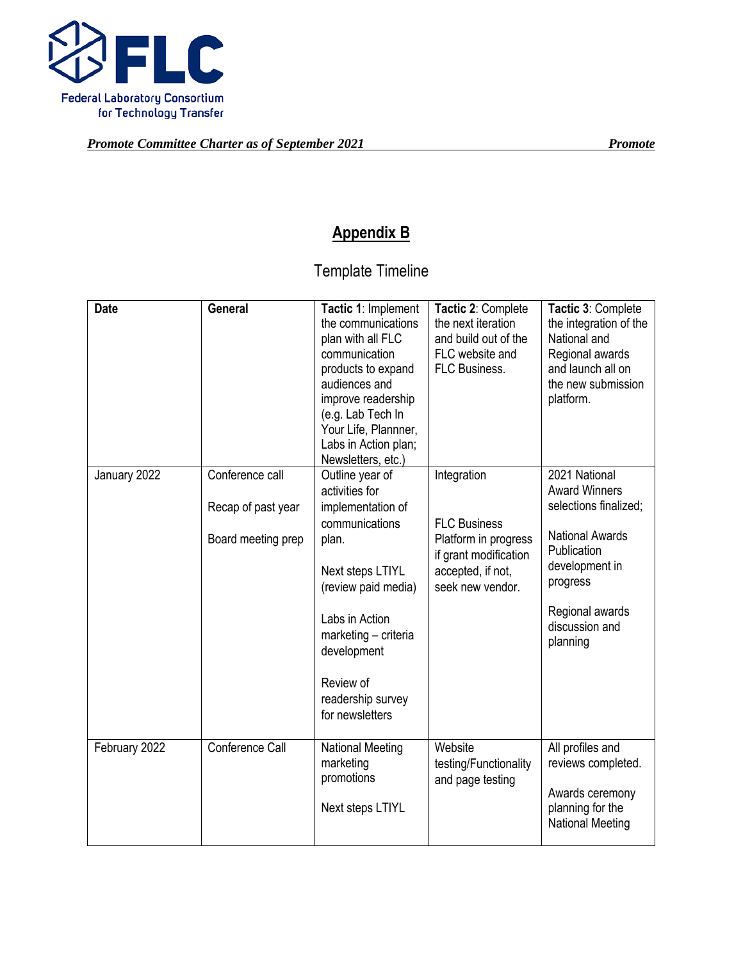

# **Appendix B**

# Template Timeline

| <b>Date</b>   | General                                                     | Tactic 1: Implement<br>the communications<br>plan with all FLC<br>communication<br>products to expand<br>audiences and<br>improve readership<br>(e.g. Lab Tech In<br>Your Life, Plannner,<br>Labs in Action plan;<br>Newsletters, etc.)    | Tactic 2: Complete<br>the next iteration<br>and build out of the<br>FLC website and<br>FLC Business.                         | Tactic 3: Complete<br>the integration of the<br>National and<br>Regional awards<br>and launch all on<br>the new submission<br>platform.                                                |
|---------------|-------------------------------------------------------------|--------------------------------------------------------------------------------------------------------------------------------------------------------------------------------------------------------------------------------------------|------------------------------------------------------------------------------------------------------------------------------|----------------------------------------------------------------------------------------------------------------------------------------------------------------------------------------|
| January 2022  | Conference call<br>Recap of past year<br>Board meeting prep | Outline year of<br>activities for<br>implementation of<br>communications<br>plan.<br>Next steps LTIYL<br>(review paid media)<br>Labs in Action<br>marketing - criteria<br>development<br>Review of<br>readership survey<br>for newsletters | Integration<br><b>FLC Business</b><br>Platform in progress<br>if grant modification<br>accepted, if not,<br>seek new vendor. | 2021 National<br><b>Award Winners</b><br>selections finalized;<br><b>National Awards</b><br>Publication<br>development in<br>progress<br>Regional awards<br>discussion and<br>planning |
| February 2022 | Conference Call                                             | <b>National Meeting</b><br>marketing<br>promotions<br>Next steps LTIYL                                                                                                                                                                     | Website<br>testing/Functionality<br>and page testing                                                                         | All profiles and<br>reviews completed.<br>Awards ceremony<br>planning for the<br><b>National Meeting</b>                                                                               |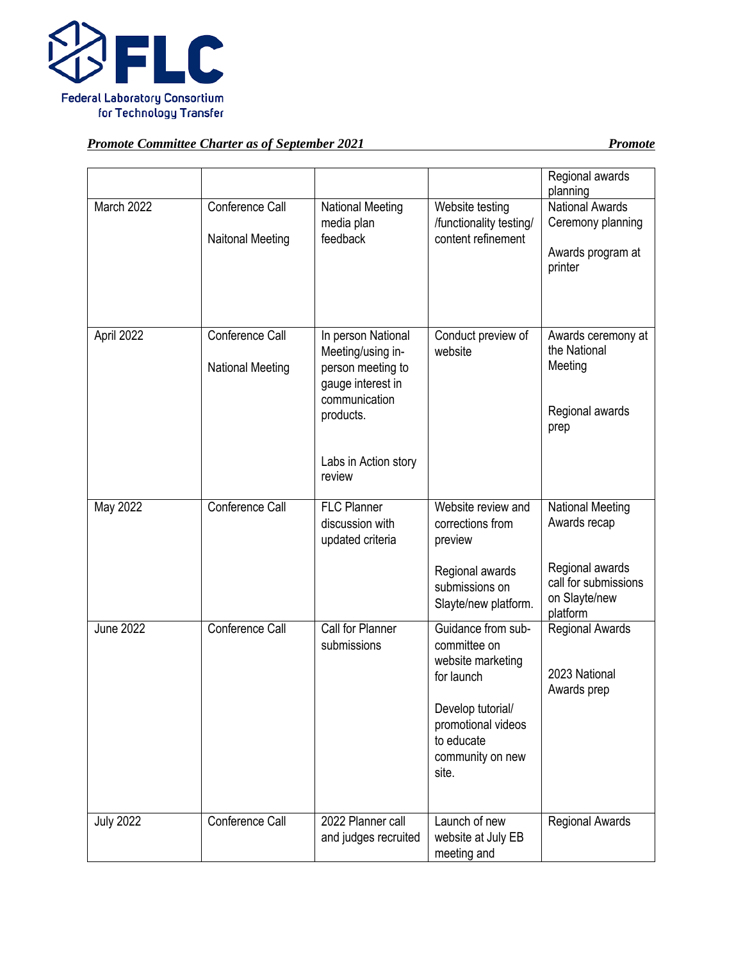

|                  |                                            |                                                                                                                                         |                                                                                                                                                             | Regional awards<br>planning                                                 |
|------------------|--------------------------------------------|-----------------------------------------------------------------------------------------------------------------------------------------|-------------------------------------------------------------------------------------------------------------------------------------------------------------|-----------------------------------------------------------------------------|
| March 2022       | Conference Call<br><b>Naitonal Meeting</b> | <b>National Meeting</b><br>media plan<br>feedback                                                                                       | Website testing<br>/functionality testing/<br>content refinement                                                                                            | <b>National Awards</b><br>Ceremony planning<br>Awards program at<br>printer |
| April 2022       | Conference Call<br><b>National Meeting</b> | In person National<br>Meeting/using in-<br>person meeting to<br>gauge interest in<br>communication<br>products.<br>Labs in Action story | Conduct preview of<br>website                                                                                                                               | Awards ceremony at<br>the National<br>Meeting<br>Regional awards<br>prep    |
|                  |                                            | review                                                                                                                                  |                                                                                                                                                             |                                                                             |
| May 2022         | Conference Call                            | <b>FLC Planner</b><br>discussion with<br>updated criteria                                                                               | Website review and<br>corrections from<br>preview                                                                                                           | <b>National Meeting</b><br>Awards recap                                     |
|                  |                                            |                                                                                                                                         | Regional awards<br>submissions on<br>Slayte/new platform.                                                                                                   | Regional awards<br>call for submissions<br>on Slayte/new<br>platform        |
| <b>June 2022</b> | Conference Call                            | Call for Planner<br>submissions                                                                                                         | Guidance from sub-<br>committee on<br>website marketing<br>for launch<br>Develop tutorial/<br>promotional videos<br>to educate<br>community on new<br>site. | <b>Regional Awards</b><br>2023 National<br>Awards prep                      |
| <b>July 2022</b> | Conference Call                            | 2022 Planner call<br>and judges recruited                                                                                               | Launch of new<br>website at July EB<br>meeting and                                                                                                          | <b>Regional Awards</b>                                                      |